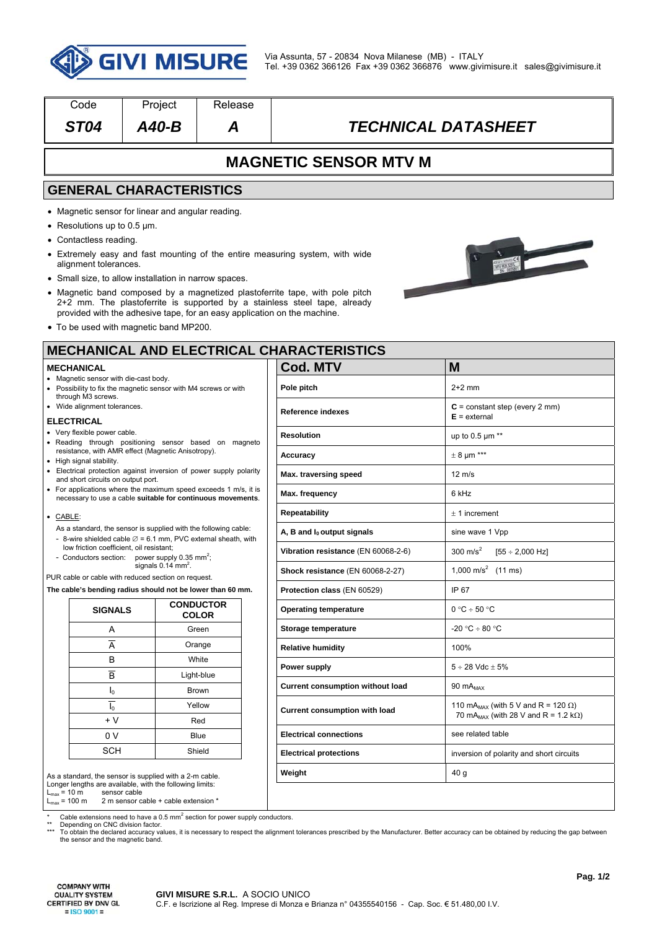

| Code                                                                                                                                         | Project                                                                                                     | Release                              |                                                                                                                                                           |                                                     |  |  |
|----------------------------------------------------------------------------------------------------------------------------------------------|-------------------------------------------------------------------------------------------------------------|--------------------------------------|-----------------------------------------------------------------------------------------------------------------------------------------------------------|-----------------------------------------------------|--|--|
| <b>ST04</b>                                                                                                                                  | $A40-B$                                                                                                     | Α                                    | <b>TECHNICAL DATASHEET</b>                                                                                                                                |                                                     |  |  |
|                                                                                                                                              |                                                                                                             |                                      | <b>MAGNETIC SENSOR MTV M</b>                                                                                                                              |                                                     |  |  |
|                                                                                                                                              | <b>GENERAL CHARACTERISTICS</b>                                                                              |                                      |                                                                                                                                                           |                                                     |  |  |
|                                                                                                                                              | • Magnetic sensor for linear and angular reading.                                                           |                                      |                                                                                                                                                           |                                                     |  |  |
| • Resolutions up to 0.5 $\mu$ m.                                                                                                             |                                                                                                             |                                      |                                                                                                                                                           |                                                     |  |  |
| • Contactless reading.                                                                                                                       |                                                                                                             |                                      |                                                                                                                                                           |                                                     |  |  |
| alignment tolerances.                                                                                                                        |                                                                                                             |                                      | • Extremely easy and fast mounting of the entire measuring system, with wide                                                                              |                                                     |  |  |
|                                                                                                                                              | • Small size, to allow installation in narrow spaces.                                                       |                                      |                                                                                                                                                           |                                                     |  |  |
|                                                                                                                                              | provided with the adhesive tape, for an easy application on the machine.                                    |                                      | • Magnetic band composed by a magnetized plastoferrite tape, with pole pitch<br>2+2 mm. The plastoferrite is supported by a stainless steel tape, already |                                                     |  |  |
|                                                                                                                                              | • To be used with magnetic band MP200.                                                                      |                                      |                                                                                                                                                           |                                                     |  |  |
|                                                                                                                                              |                                                                                                             |                                      | <b>MECHANICAL AND ELECTRICAL CHARACTERISTICS</b>                                                                                                          |                                                     |  |  |
| <b>MECHANICAL</b>                                                                                                                            |                                                                                                             |                                      | <b>Cod. MTV</b>                                                                                                                                           | M                                                   |  |  |
| • Magnetic sensor with die-cast body.                                                                                                        | • Possibility to fix the magnetic sensor with M4 screws or with                                             |                                      | Pole pitch                                                                                                                                                | $2+2$ mm                                            |  |  |
| through M3 screws.<br>· Wide alignment tolerances.                                                                                           |                                                                                                             |                                      | Reference indexes                                                                                                                                         | $C = constant step (every 2 mm)$<br>$E =$ external  |  |  |
| <b>ELECTRICAL</b><br>• Very flexible power cable.                                                                                            |                                                                                                             |                                      | <b>Resolution</b>                                                                                                                                         | up to $0.5 \mu m$ **                                |  |  |
|                                                                                                                                              | · Reading through positioning sensor based on magneto<br>resistance, with AMR effect (Magnetic Anisotropy). |                                      | Accuracy                                                                                                                                                  | $\pm$ 8 µm ***                                      |  |  |
| • High signal stability.<br>• Electrical protection against inversion of power supply polarity                                               |                                                                                                             |                                      | Max. traversing speed                                                                                                                                     | $12 \text{ m/s}$                                    |  |  |
| and short circuits on output port.<br>• For applications where the maximum speed exceeds 1 m/s, it is                                        |                                                                                                             |                                      |                                                                                                                                                           |                                                     |  |  |
| necessary to use a cable suitable for continuous movements.                                                                                  |                                                                                                             |                                      | Max. frequency                                                                                                                                            | 6 kHz                                               |  |  |
| • CABLE:                                                                                                                                     |                                                                                                             |                                      | <b>Repeatability</b>                                                                                                                                      | $± 1$ increment                                     |  |  |
| As a standard, the sensor is supplied with the following cable:<br>- 8-wire shielded cable $\varnothing$ = 6.1 mm, PVC external sheath, with |                                                                                                             |                                      | A, B and $I_0$ output signals                                                                                                                             | sine wave 1 Vpp                                     |  |  |
| low friction coefficient, oil resistant;<br>- Conductors section: power supply 0.35 mm <sup>2</sup> ;                                        |                                                                                                             |                                      | Vibration resistance (EN 60068-2-6)                                                                                                                       | $300 \text{ m/s}^2$<br>$[55 \div 2,000 \text{ Hz}]$ |  |  |
| signals $0.14$ mm <sup>2</sup> .<br>PUR cable or cable with reduced section on request.                                                      |                                                                                                             |                                      | Shock resistance (EN 60068-2-27)                                                                                                                          | 1,000 m/s <sup>2</sup> (11 ms)                      |  |  |
| The cable's bending radius should not be lower than 60 mm.                                                                                   |                                                                                                             | Protection class (EN 60529)          | IP 67                                                                                                                                                     |                                                     |  |  |
| <b>SIGNALS</b>                                                                                                                               |                                                                                                             | <b>CONDUCTOR</b><br><b>COLOR</b>     | <b>Operating temperature</b>                                                                                                                              | $0 °C \div 50 °C$                                   |  |  |
| Α                                                                                                                                            |                                                                                                             | Green                                | Storage temperature                                                                                                                                       | $-20 °C \div 80 °C$                                 |  |  |
| $\overline{A}$                                                                                                                               |                                                                                                             | Orange                               | <b>Relative humidity</b>                                                                                                                                  | 100%                                                |  |  |
| В                                                                                                                                            | White                                                                                                       |                                      | Power supply                                                                                                                                              | $5 \div 28$ Vdc $\pm 5\%$                           |  |  |
| $\overline{\mathsf{B}}$                                                                                                                      | Light-blue                                                                                                  |                                      | Current consumption without load                                                                                                                          | 90 mA <sub>MAX</sub>                                |  |  |
| $I_0$                                                                                                                                        | <b>Brown</b>                                                                                                |                                      |                                                                                                                                                           |                                                     |  |  |
| $\overline{I_0}$<br>Yellow                                                                                                                   |                                                                                                             | <b>Current consumption with load</b> | 110 mA <sub>MAX</sub> (with 5 V and R = 120 $\Omega$ )<br>70 mA <sub>MAX</sub> (with 28 V and R = 1.2 k $\Omega$ )                                        |                                                     |  |  |
| $+V$<br>Red                                                                                                                                  |                                                                                                             |                                      | <b>Electrical connections</b>                                                                                                                             | see related table                                   |  |  |
| 0 V<br>Blue<br>Shield                                                                                                                        |                                                                                                             |                                      |                                                                                                                                                           |                                                     |  |  |
| <b>SCH</b>                                                                                                                                   |                                                                                                             |                                      | <b>Electrical protections</b>                                                                                                                             | inversion of polarity and short circuits            |  |  |

2 m sensor cable + cable extension  $*$ 

\* Cable extensions need to have a 0.5 mm<sup>2</sup> section for power supply conductors.

\*\* Depending on CNC division factor.<br>\*\*\* To obtain the declared accuracy values, it is necessary to respect the alignment tolerances prescribed by the Manufacturer. Better accuracy can be obtained by reducing the gap betw